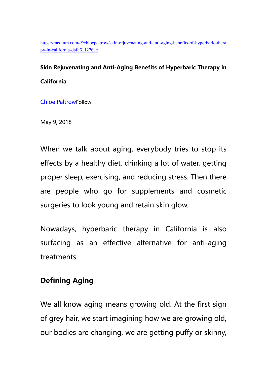[https://medium.com/@chloepaltrow/skin-rejuvenating-and-anti-aging-benefits-of-hyperbaric-thera](https://medium.com/@chloepaltrow/skin-rejuvenating-and-anti-aging-benefits-of-hyperbaric-therapy-in-california-dafa611276ac) [py-in-california-dafa611276ac](https://medium.com/@chloepaltrow/skin-rejuvenating-and-anti-aging-benefits-of-hyperbaric-therapy-in-california-dafa611276ac)

# **Skin Rejuvenating and Anti-Aging Benefits of Hyperbaric Therapy in California**

[Chloe Paltrow](https://medium.com/@chloepaltrow)Follow

May 9, 2018

When we talk about aging, everybody tries to stop its effects by a healthy diet, drinking a lot of water, getting proper sleep, exercising, and reducing stress. Then there are people who go for supplements and cosmetic surgeries to look young and retain skin glow.

Nowadays, hyperbaric therapy in California is also surfacing as an effective alternative for anti-aging treatments.

### **Defining Aging**

We all know aging means growing old. At the first sign of grey hair, we start imagining how we are growing old, our bodies are changing, we are getting puffy or skinny,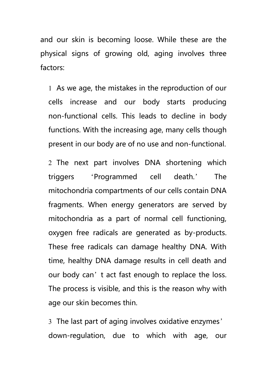and our skin is becoming loose. While these are the physical signs of growing old, aging involves three factors:

 As we age, the mistakes in the reproduction of our cells increase and our body starts producing non-functional cells. This leads to decline in body functions. With the increasing age, many cells though present in our body are of no use and non-functional.

2 The next part involves DNA shortening which triggers 'Programmed cell death.' The mitochondria compartments of our cells contain DNA fragments. When energy generators are served by mitochondria as a part of normal cell functioning, oxygen free radicals are generated as by-products. These free radicals can damage healthy DNA. With time, healthy DNA damage results in cell death and our body can't act fast enough to replace the loss. The process is visible, and this is the reason why with age our skin becomes thin.

 The last part of aging involves oxidative enzymes' down-regulation, due to which with age, our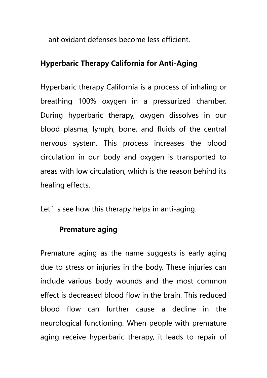antioxidant defenses become less efficient.

# **Hyperbaric Therapy California for Anti-Aging**

Hyperbaric therapy California is a process of inhaling or breathing 100% oxygen in a pressurized chamber. During hyperbaric therapy, oxygen dissolves in our blood plasma, lymph, bone, and fluids of the central nervous system. This process increases the blood circulation in our body and oxygen is transported to areas with low circulation, which is the reason behind its healing effects.

Let' s see how this therapy helps in anti-aging.

## **Premature aging**

Premature aging as the name suggests is early aging due to stress or injuries in the body. These injuries can include various body wounds and the most common effect is decreased blood flow in the brain. This reduced blood flow can further cause a decline in the neurological functioning. When people with premature aging receive hyperbaric therapy, it leads to repair of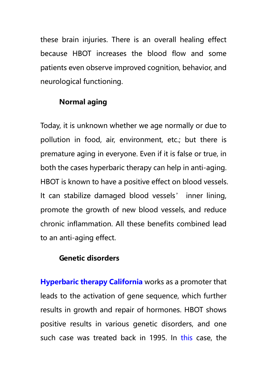these brain injuries. There is an overall healing effect because HBOT increases the blood flow and some patients even observe improved cognition, behavior, and neurological functioning.

## **Normal aging**

Today, it is unknown whether we age normally or due to pollution in food, air, environment, etc.; but there is premature aging in everyone. Even if it is false or true, in both the cases hyperbaric therapy can help in anti-aging. HBOT is known to have a positive effect on blood vessels. It can stabilize damaged blood vessels' inner lining, promote the growth of new blood vessels, and reduce chronic inflammation. All these benefits combined lead to an anti-aging effect.

#### **Genetic disorders**

**[Hyperbaric therapy California](http://www.californiahyperbarics.com/)** works as a promoter that leads to the activation of gene sequence, which further results in growth and repair of hormones. HBOT shows positive results in various genetic disorders, and one such case was treated back in 1995. In [this](http://www.drelizabethaboyle.com/wp-content/uploads/2014/07/52cc432b6d66d.pdf) case, the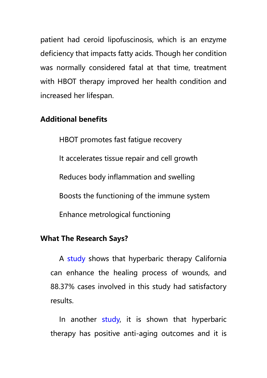patient had ceroid lipofuscinosis, which is an enzyme deficiency that impacts fatty acids. Though her condition was normally considered fatal at that time, treatment with HBOT therapy improved her health condition and increased her lifespan.

#### **Additional benefits**

HBOT promotes fast fatigue recovery It accelerates tissue repair and cell growth Reduces body inflammation and swelling Boosts the functioning of the immune system Enhance metrological functioning

#### **What The Research Says?**

A [study](https://www.ncbi.nlm.nih.gov/pmc/articles/PMC3495382/) shows that hyperbaric therapy California can enhance the healing process of wounds, and 88.37% cases involved in this study had satisfactory results.

In another [study,](https://www.ncbi.nlm.nih.gov/pubmed/24690202) it is shown that hyperbaric therapy has positive anti-aging outcomes and it is